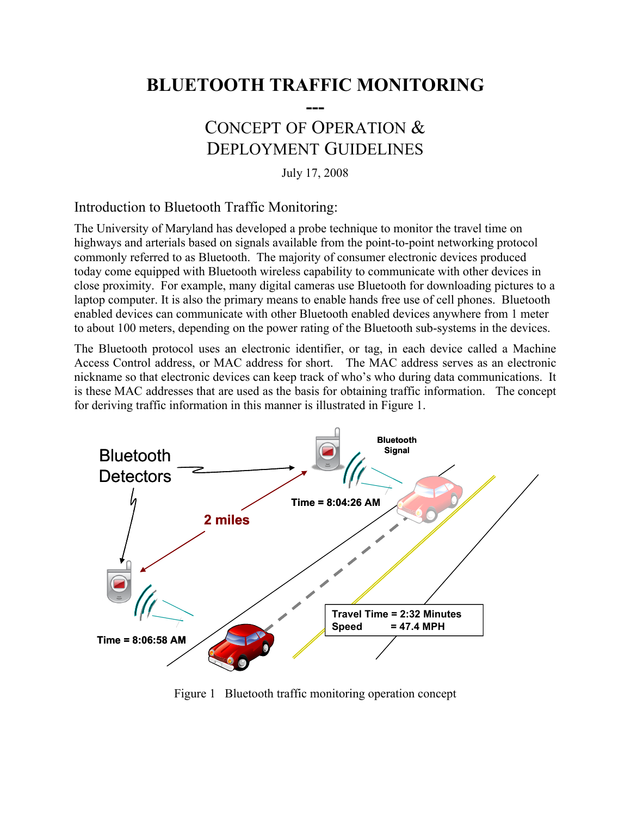# **BLUETOOTH TRAFFIC MONITORING**

**---**

## CONCEPT OF OPERATION & DEPLOYMENT GUIDELINES

July 17, 2008

Introduction to Bluetooth Traffic Monitoring:

The University of Maryland has developed a probe technique to monitor the travel time on highways and arterials based on signals available from the point-to-point networking protocol commonly referred to as Bluetooth. The majority of consumer electronic devices produced today come equipped with Bluetooth wireless capability to communicate with other devices in close proximity. For example, many digital cameras use Bluetooth for downloading pictures to a laptop computer. It is also the primary means to enable hands free use of cell phones. Bluetooth enabled devices can communicate with other Bluetooth enabled devices anywhere from 1 meter to about 100 meters, depending on the power rating of the Bluetooth sub-systems in the devices.

The Bluetooth protocol uses an electronic identifier, or tag, in each device called a Machine Access Control address, or MAC address for short. The MAC address serves as an electronic nickname so that electronic devices can keep track of who's who during data communications. It is these MAC addresses that are used as the basis for obtaining traffic information. The concept for deriving traffic information in this manner is illustrated in Figure 1.



Figure 1 Bluetooth traffic monitoring operation concept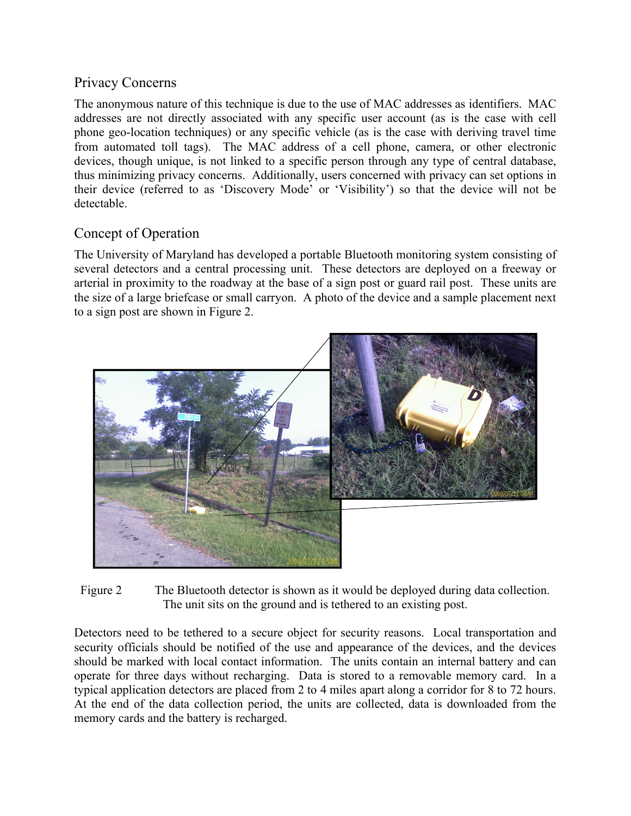### Privacy Concerns

The anonymous nature of this technique is due to the use of MAC addresses as identifiers. MAC addresses are not directly associated with any specific user account (as is the case with cell phone geo-location techniques) or any specific vehicle (as is the case with deriving travel time from automated toll tags). The MAC address of a cell phone, camera, or other electronic devices, though unique, is not linked to a specific person through any type of central database, thus minimizing privacy concerns. Additionally, users concerned with privacy can set options in their device (referred to as 'Discovery Mode' or 'Visibility') so that the device will not be detectable.

## Concept of Operation

The University of Maryland has developed a portable Bluetooth monitoring system consisting of several detectors and a central processing unit. These detectors are deployed on a freeway or arterial in proximity to the roadway at the base of a sign post or guard rail post. These units are the size of a large briefcase or small carryon. A photo of the device and a sample placement next to a sign post are shown in Figure 2.



Figure 2 The Bluetooth detector is shown as it would be deployed during data collection. The unit sits on the ground and is tethered to an existing post.

Detectors need to be tethered to a secure object for security reasons. Local transportation and security officials should be notified of the use and appearance of the devices, and the devices should be marked with local contact information. The units contain an internal battery and can operate for three days without recharging. Data is stored to a removable memory card. In a typical application detectors are placed from 2 to 4 miles apart along a corridor for 8 to 72 hours. At the end of the data collection period, the units are collected, data is downloaded from the memory cards and the battery is recharged.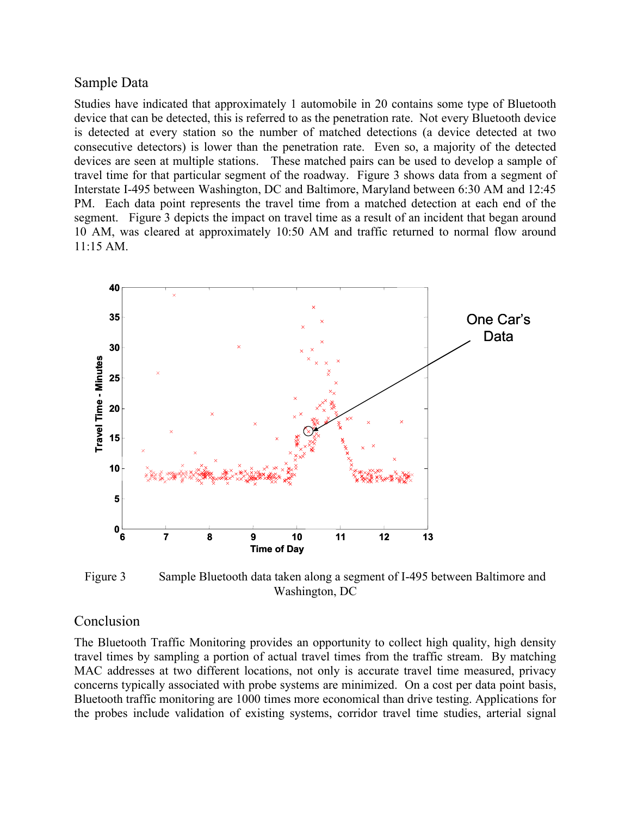#### Sample Data

Studies have indicated that approximately 1 automobile in 20 contains some type of Bluetooth device that can be detected, this is referred to as the penetration rate. Not every Bluetooth device is detected at every station so the number of matched detections (a device detected at two consecutive detectors) is lower than the penetration rate. Even so, a majority of the detected devices are seen at multiple stations. These matched pairs can be used to develop a sample of travel time for that particular segment of the roadway. Figure 3 shows data from a segment of Interstate I-495 between Washington, DC and Baltimore, Maryland between 6:30 AM and 12:45 PM. Each data point represents the travel time from a matched detection at each end of the segment. Figure 3 depicts the impact on travel time as a result of an incident that began around 10 AM, was cleared at approximately 10:50 AM and traffic returned to normal flow around 11:15 AM.



Figure 3 Sample Bluetooth data taken along a segment of I-495 between Baltimore and Washington, DC

### Conclusion

The Bluetooth Traffic Monitoring provides an opportunity to collect high quality, high density travel times by sampling a portion of actual travel times from the traffic stream. By matching MAC addresses at two different locations, not only is accurate travel time measured, privacy concerns typically associated with probe systems are minimized. On a cost per data point basis, Bluetooth traffic monitoring are 1000 times more economical than drive testing. Applications for the probes include validation of existing systems, corridor travel time studies, arterial signal